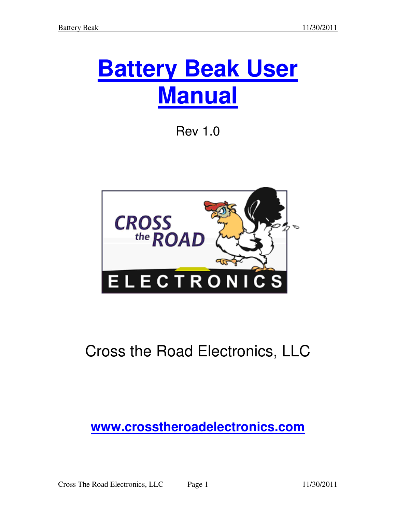# **Battery Beak User Manual**

Rev 1.0



# Cross the Road Electronics, LLC

# **www.crosstheroadelectronics.com**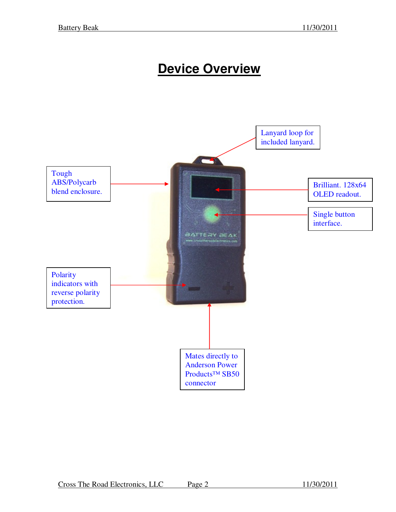# **Device Overview**

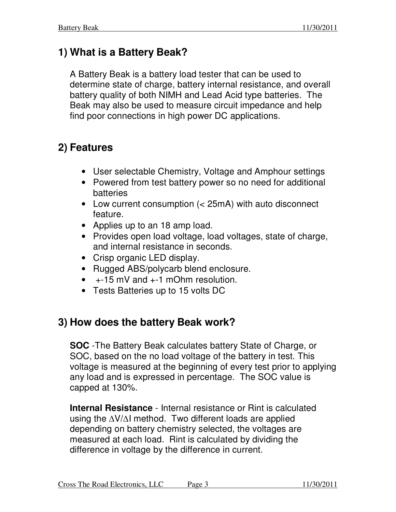# **1) What is a Battery Beak?**

A Battery Beak is a battery load tester that can be used to determine state of charge, battery internal resistance, and overall battery quality of both NIMH and Lead Acid type batteries. The Beak may also be used to measure circuit impedance and help find poor connections in high power DC applications.

# **2) Features**

- User selectable Chemistry, Voltage and Amphour settings
- Powered from test battery power so no need for additional batteries
- Low current consumption (< 25mA) with auto disconnect feature.
- Applies up to an 18 amp load.
- Provides open load voltage, load voltages, state of charge, and internal resistance in seconds.
- Crisp organic LED display.
- Rugged ABS/polycarb blend enclosure.
- $\bullet$  +-15 mV and  $+$ -1 mOhm resolution.
- Tests Batteries up to 15 volts DC

# **3) How does the battery Beak work?**

**SOC** -The Battery Beak calculates battery State of Charge, or SOC, based on the no load voltage of the battery in test. This voltage is measured at the beginning of every test prior to applying any load and is expressed in percentage. The SOC value is capped at 130%.

**Internal Resistance** - Internal resistance or Rint is calculated using the ∆V/∆I method. Two different loads are applied depending on battery chemistry selected, the voltages are measured at each load. Rint is calculated by dividing the difference in voltage by the difference in current.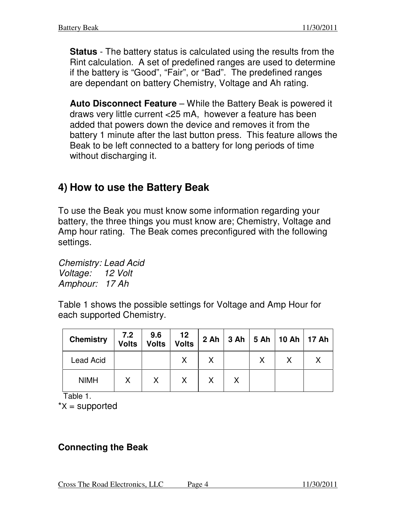**Status** - The battery status is calculated using the results from the Rint calculation. A set of predefined ranges are used to determine if the battery is "Good", "Fair", or "Bad". The predefined ranges are dependant on battery Chemistry, Voltage and Ah rating.

**Auto Disconnect Feature** – While the Battery Beak is powered it draws very little current <25 mA, however a feature has been added that powers down the device and removes it from the battery 1 minute after the last button press. This feature allows the Beak to be left connected to a battery for long periods of time without discharging it.

### **4) How to use the Battery Beak**

To use the Beak you must know some information regarding your battery, the three things you must know are; Chemistry, Voltage and Amp hour rating. The Beak comes preconfigured with the following settings.

*Chemistry: Lead Acid Voltage: 12 Volt Amphour: 17 Ah* 

Table 1 shows the possible settings for Voltage and Amp Hour for each supported Chemistry.

| <b>Chemistry</b> | 7.2<br><b>Volts</b> | 9.6<br>Volts | 12<br>Volts |  | $2 Ah$ 3 Ah $5 Ah$ 10 Ah $17 Ah$ |  |
|------------------|---------------------|--------------|-------------|--|----------------------------------|--|
| <b>Lead Acid</b> |                     |              |             |  |                                  |  |
| <b>NIMH</b>      | Χ                   | X.           | X           |  |                                  |  |

Table 1.

 $*x$  = supported

#### **Connecting the Beak**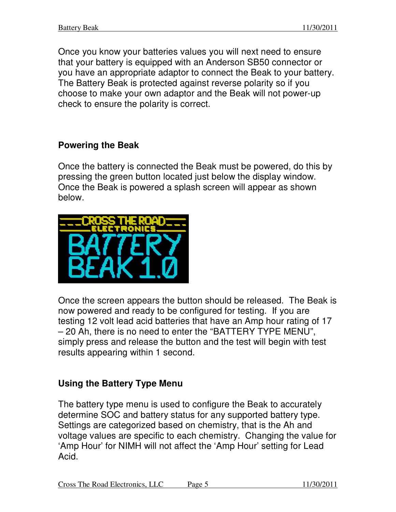Once you know your batteries values you will next need to ensure that your battery is equipped with an Anderson SB50 connector or you have an appropriate adaptor to connect the Beak to your battery. The Battery Beak is protected against reverse polarity so if you choose to make your own adaptor and the Beak will not power-up check to ensure the polarity is correct.

#### **Powering the Beak**

Once the battery is connected the Beak must be powered, do this by pressing the green button located just below the display window. Once the Beak is powered a splash screen will appear as shown below.



Once the screen appears the button should be released. The Beak is now powered and ready to be configured for testing. If you are testing 12 volt lead acid batteries that have an Amp hour rating of 17 – 20 Ah, there is no need to enter the "BATTERY TYPE MENU", simply press and release the button and the test will begin with test results appearing within 1 second.

#### **Using the Battery Type Menu**

The battery type menu is used to configure the Beak to accurately determine SOC and battery status for any supported battery type. Settings are categorized based on chemistry, that is the Ah and voltage values are specific to each chemistry. Changing the value for 'Amp Hour' for NIMH will not affect the 'Amp Hour' setting for Lead Acid.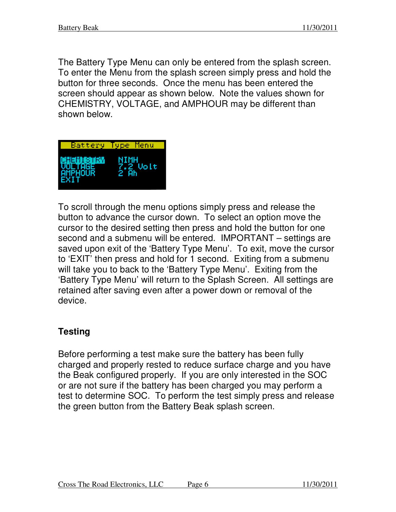The Battery Type Menu can only be entered from the splash screen. To enter the Menu from the splash screen simply press and hold the button for three seconds. Once the menu has been entered the screen should appear as shown below. Note the values shown for CHEMISTRY, VOLTAGE, and AMPHOUR may be different than shown below.



To scroll through the menu options simply press and release the button to advance the cursor down. To select an option move the cursor to the desired setting then press and hold the button for one second and a submenu will be entered. IMPORTANT – settings are saved upon exit of the 'Battery Type Menu'. To exit, move the cursor to 'EXIT' then press and hold for 1 second. Exiting from a submenu will take you to back to the 'Battery Type Menu'. Exiting from the 'Battery Type Menu' will return to the Splash Screen. All settings are retained after saving even after a power down or removal of the device.

#### **Testing**

Before performing a test make sure the battery has been fully charged and properly rested to reduce surface charge and you have the Beak configured properly. If you are only interested in the SOC or are not sure if the battery has been charged you may perform a test to determine SOC. To perform the test simply press and release the green button from the Battery Beak splash screen.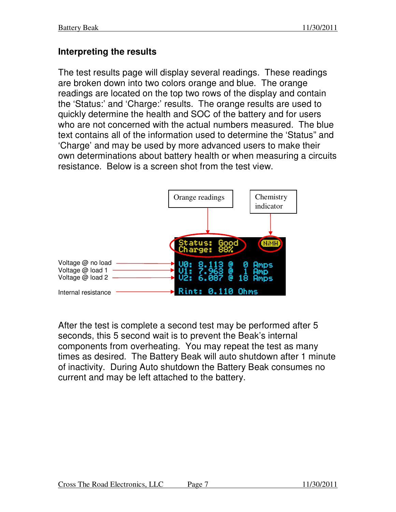#### **Interpreting the results**

The test results page will display several readings. These readings are broken down into two colors orange and blue. The orange readings are located on the top two rows of the display and contain the 'Status:' and 'Charge:' results. The orange results are used to quickly determine the health and SOC of the battery and for users who are not concerned with the actual numbers measured. The blue text contains all of the information used to determine the 'Status" and 'Charge' and may be used by more advanced users to make their own determinations about battery health or when measuring a circuits resistance. Below is a screen shot from the test view.



After the test is complete a second test may be performed after 5 seconds, this 5 second wait is to prevent the Beak's internal components from overheating. You may repeat the test as many times as desired. The Battery Beak will auto shutdown after 1 minute of inactivity. During Auto shutdown the Battery Beak consumes no current and may be left attached to the battery.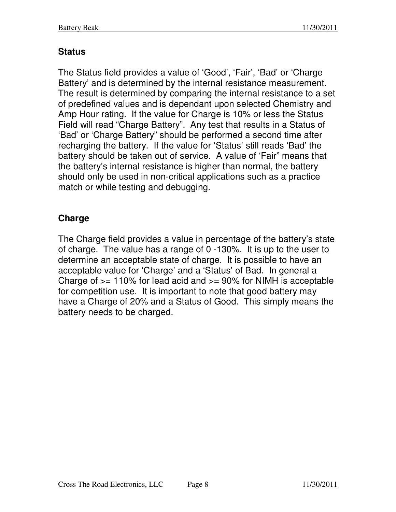#### **Status**

The Status field provides a value of 'Good', 'Fair', 'Bad' or 'Charge Battery' and is determined by the internal resistance measurement. The result is determined by comparing the internal resistance to a set of predefined values and is dependant upon selected Chemistry and Amp Hour rating. If the value for Charge is 10% or less the Status Field will read "Charge Battery". Any test that results in a Status of 'Bad' or 'Charge Battery" should be performed a second time after recharging the battery. If the value for 'Status' still reads 'Bad' the battery should be taken out of service. A value of 'Fair" means that the battery's internal resistance is higher than normal, the battery should only be used in non-critical applications such as a practice match or while testing and debugging.

#### **Charge**

The Charge field provides a value in percentage of the battery's state of charge. The value has a range of 0 -130%. It is up to the user to determine an acceptable state of charge. It is possible to have an acceptable value for 'Charge' and a 'Status' of Bad. In general a Charge of  $>= 110\%$  for lead acid and  $>= 90\%$  for NIMH is acceptable for competition use. It is important to note that good battery may have a Charge of 20% and a Status of Good. This simply means the battery needs to be charged.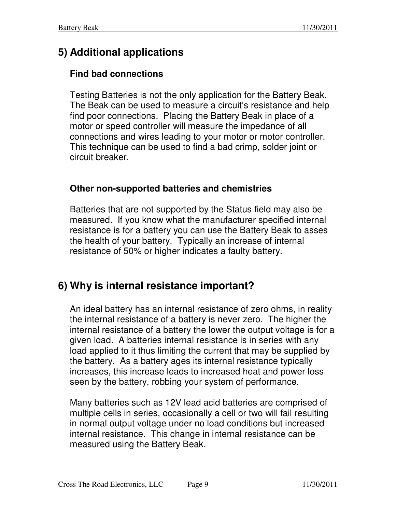# **5) Additional applications**

#### **Find bad connections**

Testing Batteries is not the only application for the Battery Beak. The Beak can be used to measure a circuit's resistance and help find poor connections. Placing the Battery Beak in place of a motor or speed controller will measure the impedance of all connections and wires leading to your motor or motor controller. This technique can be used to find a bad crimp, solder joint or circuit breaker.

#### **Other non-supported batteries and chemistries**

Batteries that are not supported by the Status field may also be measured. If you know what the manufacturer specified internal resistance is for a battery you can use the Battery Beak to asses the health of your battery. Typically an increase of internal resistance of 50% or higher indicates a faulty battery.

# **6) Why is internal resistance important?**

An ideal battery has an internal resistance of zero ohms, in reality the internal resistance of a battery is never zero. The higher the internal resistance of a battery the lower the output voltage is for a given load. A batteries internal resistance is in series with any load applied to it thus limiting the current that may be supplied by the battery. As a battery ages its internal resistance typically increases, this increase leads to increased heat and power loss seen by the battery, robbing your system of performance.

Many batteries such as 12V lead acid batteries are comprised of multiple cells in series, occasionally a cell or two will fail resulting in normal output voltage under no load conditions but increased internal resistance. This change in internal resistance can be measured using the Battery Beak.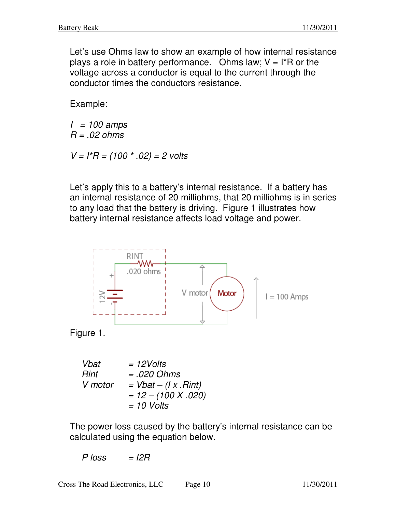Let's use Ohms law to show an example of how internal resistance plays a role in battery performance. Ohms law;  $V = I^*R$  or the voltage across a conductor is equal to the current through the conductor times the conductors resistance.

Example:

*I = 100 amps R = .02 ohms* 

*V = I\*R = (100 \* .02) = 2 volts* 

Let's apply this to a battery's internal resistance. If a battery has an internal resistance of 20 milliohms, that 20 milliohms is in series to any load that the battery is driving. Figure 1 illustrates how battery internal resistance affects load voltage and power.



Figure 1.

| Vbat    | $=$ 12Volts                  |
|---------|------------------------------|
| Rint    | $= .020$ Ohms                |
| V motor | $= Vbat - (I \times . Rint)$ |
|         | $= 12 - (100 X.020)$         |
|         | $= 10$ Volts                 |

The power loss caused by the battery's internal resistance can be calculated using the equation below.

*P loss = I2R* 

Cross The Road Electronics, LLC Page 10 11/30/2011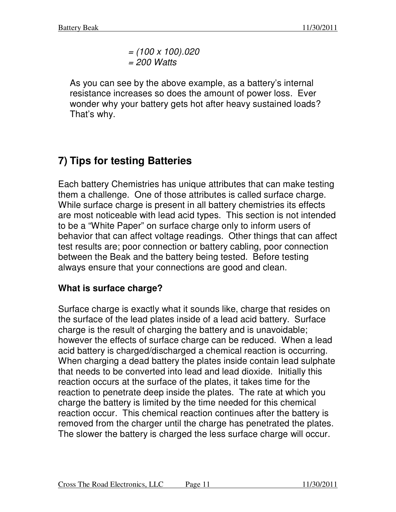*= (100 x 100).020 = 200 Watts* 

As you can see by the above example, as a battery's internal resistance increases so does the amount of power loss. Ever wonder why your battery gets hot after heavy sustained loads? That's why.

# **7) Tips for testing Batteries**

Each battery Chemistries has unique attributes that can make testing them a challenge. One of those attributes is called surface charge. While surface charge is present in all battery chemistries its effects are most noticeable with lead acid types. This section is not intended to be a "White Paper" on surface charge only to inform users of behavior that can affect voltage readings. Other things that can affect test results are; poor connection or battery cabling, poor connection between the Beak and the battery being tested. Before testing always ensure that your connections are good and clean.

#### **What is surface charge?**

Surface charge is exactly what it sounds like, charge that resides on the surface of the lead plates inside of a lead acid battery. Surface charge is the result of charging the battery and is unavoidable; however the effects of surface charge can be reduced. When a lead acid battery is charged/discharged a chemical reaction is occurring. When charging a dead battery the plates inside contain lead sulphate that needs to be converted into lead and lead dioxide. Initially this reaction occurs at the surface of the plates, it takes time for the reaction to penetrate deep inside the plates. The rate at which you charge the battery is limited by the time needed for this chemical reaction occur. This chemical reaction continues after the battery is removed from the charger until the charge has penetrated the plates. The slower the battery is charged the less surface charge will occur.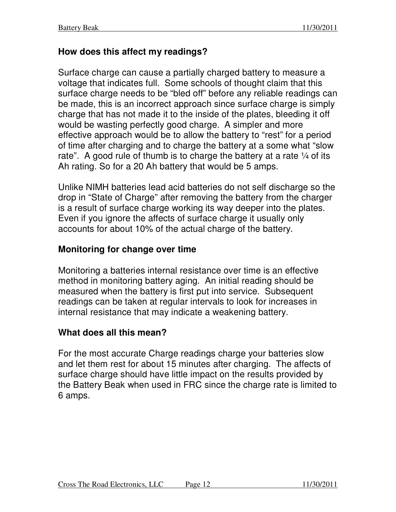#### **How does this affect my readings?**

Surface charge can cause a partially charged battery to measure a voltage that indicates full. Some schools of thought claim that this surface charge needs to be "bled off" before any reliable readings can be made, this is an incorrect approach since surface charge is simply charge that has not made it to the inside of the plates, bleeding it off would be wasting perfectly good charge. A simpler and more effective approach would be to allow the battery to "rest" for a period of time after charging and to charge the battery at a some what "slow rate". A good rule of thumb is to charge the battery at a rate  $\frac{1}{4}$  of its Ah rating. So for a 20 Ah battery that would be 5 amps.

Unlike NIMH batteries lead acid batteries do not self discharge so the drop in "State of Charge" after removing the battery from the charger is a result of surface charge working its way deeper into the plates. Even if you ignore the affects of surface charge it usually only accounts for about 10% of the actual charge of the battery.

#### **Monitoring for change over time**

Monitoring a batteries internal resistance over time is an effective method in monitoring battery aging. An initial reading should be measured when the battery is first put into service. Subsequent readings can be taken at regular intervals to look for increases in internal resistance that may indicate a weakening battery.

#### **What does all this mean?**

For the most accurate Charge readings charge your batteries slow and let them rest for about 15 minutes after charging. The affects of surface charge should have little impact on the results provided by the Battery Beak when used in FRC since the charge rate is limited to 6 amps.